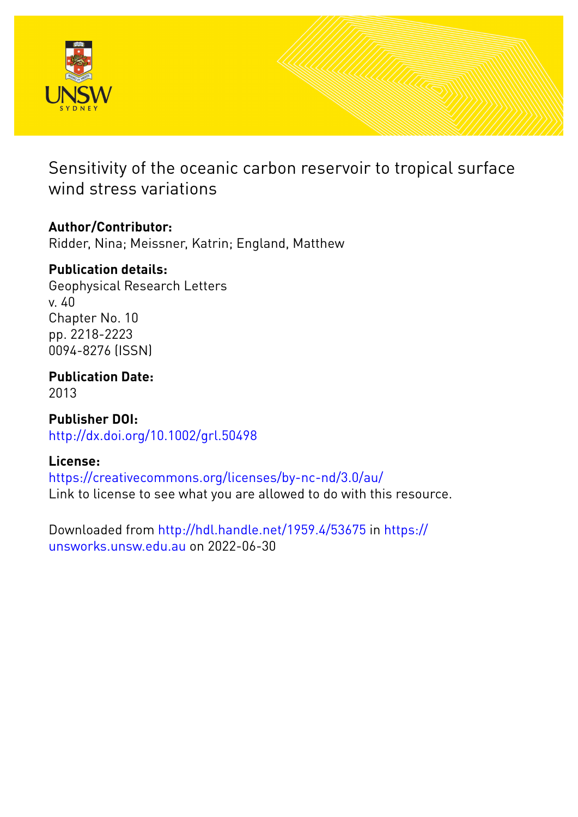

Sensitivity of the oceanic carbon reservoir to tropical surface wind stress variations

# **Author/Contributor:**

Ridder, Nina; Meissner, Katrin; England, Matthew

# **Publication details:**

Geophysical Research Letters v. 40 Chapter No. 10 pp. 2218-2223 0094-8276 (ISSN)

**Publication Date:** 2013

**Publisher DOI:** [http://dx.doi.org/10.1002/grl.50498](http://dx.doi.org/http://dx.doi.org/10.1002/grl.50498)

## **License:**

<https://creativecommons.org/licenses/by-nc-nd/3.0/au/> Link to license to see what you are allowed to do with this resource.

Downloaded from <http://hdl.handle.net/1959.4/53675> in [https://](https://unsworks.unsw.edu.au) [unsworks.unsw.edu.au](https://unsworks.unsw.edu.au) on 2022-06-30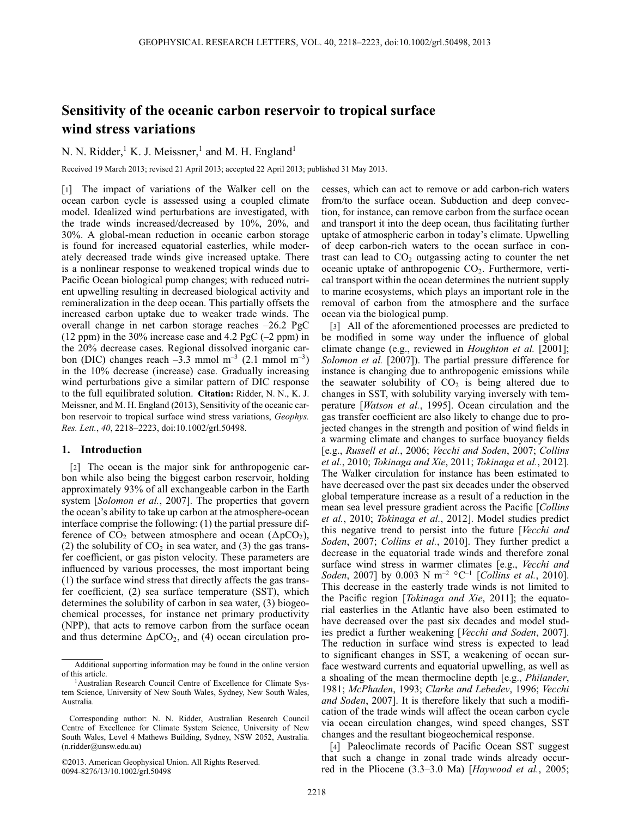## **Sensitivity of the oceanic carbon reservoir to tropical surface wind stress variations**

N. N. Ridder,<sup>1</sup> K. J. Meissner,<sup>1</sup> and M. H. England<sup>1</sup>

Received 19 March 2013; revised 21 April 2013; accepted 22 April 2013; published 31 May 2013.

[1] The impact of variations of the Walker cell on the ocean carbon cycle is assessed using a coupled climate model. Idealized wind perturbations are investigated, with the trade winds increased/decreased by 10%, 20%, and 30%. A global-mean reduction in oceanic carbon storage is found for increased equatorial easterlies, while moderately decreased trade winds give increased uptake. There is a nonlinear response to weakened tropical winds due to Pacific Ocean biological pump changes; with reduced nutrient upwelling resulting in decreased biological activity and remineralization in the deep ocean. This partially offsets the increased carbon uptake due to weaker trade winds. The overall change in net carbon storage reaches –26.2 PgC (12 ppm) in the 30% increase case and 4.2 PgC  $(-2$  ppm) in the 20% decrease cases. Regional dissolved inorganic carbon (DIC) changes reach  $-3.3$  mmol m<sup>-3</sup> (2.1 mmol m<sup>-3</sup>) in the 10% decrease (increase) case. Gradually increasing wind perturbations give a similar pattern of DIC response to the full equilibrated solution. **Citation:** Ridder, N. N., K. J. Meissner, and M. H. England (2013), Sensitivity of the oceanic carbon reservoir to tropical surface wind stress variations, *Geophys. Res. Lett.*, *40*, 2218–2223, doi:10.1002/grl.50498.

### **1. Introduction**

[2] The ocean is the major sink for anthropogenic carbon while also being the biggest carbon reservoir, holding approximately 93% of all exchangeable carbon in the Earth system [*[Solomon et al.](#page-6-1)*, 2007]. The properties that govern the ocean's ability to take up carbon at the atmosphere-ocean interface comprise the following: (1) the partial pressure difference of  $CO_2$  between atmosphere and ocean ( $\Delta p CO_2$ ), (2) the solubility of  $CO<sub>2</sub>$  in sea water, and (3) the gas transfer coefficient, or gas piston velocity. These parameters are influenced by various processes, the most important being (1) the surface wind stress that directly affects the gas transfer coefficient, (2) sea surface temperature (SST), which determines the solubility of carbon in sea water, (3) biogeochemical processes, for instance net primary productivity (NPP), that acts to remove carbon from the surface ocean and thus determine  $\Delta pCO_2$ , and (4) ocean circulation processes, which can act to remove or add carbon-rich waters from/to the surface ocean. Subduction and deep convection, for instance, can remove carbon from the surface ocean and transport it into the deep ocean, thus facilitating further uptake of atmospheric carbon in today's climate. Upwelling of deep carbon-rich waters to the ocean surface in contrast can lead to  $CO<sub>2</sub>$  outgassing acting to counter the net oceanic uptake of anthropogenic  $CO<sub>2</sub>$ . Furthermore, vertical transport within the ocean determines the nutrient supply to marine ecosystems, which plays an important role in the removal of carbon from the atmosphere and the surface ocean via the biological pump.

[3] All of the aforementioned processes are predicted to be modified in some way under the influence of global climate change (e.g., reviewed in *Houghton et al.* [\[2001\]](#page-6-2); *Solomon et al.* [\[2007\]](#page-6-1)). The partial pressure difference for instance is changing due to anthropogenic emissions while the seawater solubility of  $CO<sub>2</sub>$  is being altered due to changes in SST, with solubility varying inversely with temperature [*[Watson et al.](#page-6-3)*, 1995]. Ocean circulation and the gas transfer coefficient are also likely to change due to projected changes in the strength and position of wind fields in a warming climate and changes to surface buoyancy fields [e.g., *Russell et al.*, [2006;](#page-6-4) *Vecchi and Soden*, [2007;](#page-6-5) *Collins et al.*, [2010;](#page-6-6) *Tokinaga and Xie*, [2011;](#page-6-7) *Tokinaga et al.*, [2012\]](#page-6-8). The Walker circulation for instance has been estimated to have decreased over the past six decades under the observed global temperature increase as a result of a reduction in the mean sea level pressure gradient across the Pacific [*Collins et al.*, 2010; *[Tokinaga et al.](#page-6-8)*, 2012]. Model studies predict this negative trend to persist into the future [*Vecchi and Soden*, 2007; *[Collins et al.](#page-6-6)*, 2010]. They further predict a decrease in the equatorial trade winds and therefore zonal surface wind stress in warmer climates [e.g., *Vecchi and Soden*, [2007\]](#page-6-5) by 0.003 N m<sup>-2</sup> °C<sup>-1</sup> [*[Collins et al.](#page-6-6)*, 2010]. This decrease in the easterly trade winds is not limited to the Pacific region [*[Tokinaga and Xie](#page-6-7)*, 2011]; the equatorial easterlies in the Atlantic have also been estimated to have decreased over the past six decades and model studies predict a further weakening [*[Vecchi and Soden](#page-6-5)*, 2007]. The reduction in surface wind stress is expected to lead to significant changes in SST, a weakening of ocean surface westward currents and equatorial upwelling, as well as a shoaling of the mean thermocline depth [e.g., *Philander*, [1981;](#page-6-9) *McPhaden*, [1993;](#page-6-10) *Clarke and Lebedev*, [1996;](#page-6-11) *Vecchi and Soden*, [2007\]](#page-6-5). It is therefore likely that such a modification of the trade winds will affect the ocean carbon cycle via ocean circulation changes, wind speed changes, SST changes and the resultant biogeochemical response.

[4] Paleoclimate records of Pacific Ocean SST suggest that such a change in zonal trade winds already occurred in the Pliocene (3.3–3.0 Ma) [*[Haywood et al.](#page-6-12)*, 2005;

Additional supporting information may be found in the online version of this article.

<sup>&</sup>lt;sup>1</sup>Australian Research Council Centre of Excellence for Climate System Science, University of New South Wales, Sydney, New South Wales, Australia.

Corresponding author: N. N. Ridder, Australian Research Council Centre of Excellence for Climate System Science, University of New South Wales, Level 4 Mathews Building, Sydney, NSW 2052, Australia. (n.ridder@unsw.edu.au)

<sup>©2013.</sup> American Geophysical Union. All Rights Reserved. 0094-8276/13/10.1002/grl.50498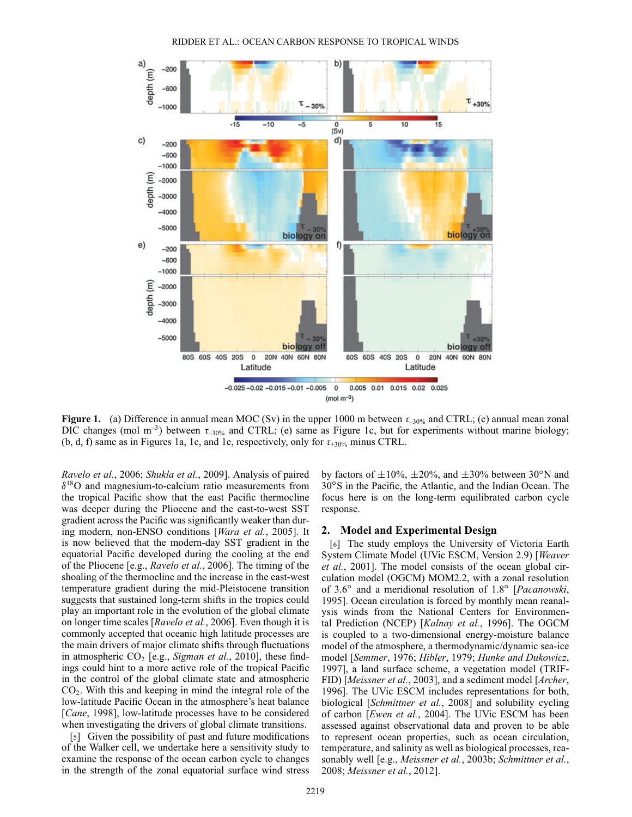

<span id="page-2-0"></span>**Figure 1.** (a) Difference in annual mean MOC (Sv) in the upper 1000 m between  $\tau_{-30\%}$  and CTRL; (c) annual mean zonal DIC changes (mol  $m^{-3}$ ) between  $\tau_{-30\%}$  and CTRL; (e) same as Figure [1c](#page-2-0), but for experiments without marine biology; (b, d, f) same as in Figures [1a](#page-2-0), [1c](#page-2-0), and [1e](#page-2-0), respectively, only for  $\tau_{+30\%}$  minus CTRL.

*[Ravelo et al.](#page-6-13)*, 2006; *[Shukla et al.](#page-6-14)*, 2009]. Analysis of paired  $\delta^{18}$ O and magnesium-to-calcium ratio measurements from the tropical Pacific show that the east Pacific thermocline was deeper during the Pliocene and the east-to-west SST gradient across the Pacific was significantly weaker than during modern, non-ENSO conditions [*[Wara et al.](#page-6-15)*, 2005]. It is now believed that the modern-day SST gradient in the equatorial Pacific developed during the cooling at the end of the Pliocene [e.g., *Ravelo et al.*, [2006\]](#page-6-13). The timing of the shoaling of the thermocline and the increase in the east-west temperature gradient during the mid-Pleistocene transition suggests that sustained long-term shifts in the tropics could play an important role in the evolution of the global climate on longer time scales [*Ravelo et al.*, [2006\]](#page-6-13). Even though it is commonly accepted that oceanic high latitude processes are the main drivers of major climate shifts through fluctuations in atmospheric CO<sub>2</sub> [e.g., *Sigman et al.*, [2010\]](#page-6-16), these findings could hint to a more active role of the tropical Pacific in the control of the global climate state and atmospheric  $CO<sub>2</sub>$ . With this and keeping in mind the integral role of the low-latitude Pacific Ocean in the atmosphere's heat balance [*Cane*[, 1998\]](#page-6-17), low-latitude processes have to be considered when investigating the drivers of global climate transitions.

[5] Given the possibility of past and future modifications of the Walker cell, we undertake here a sensitivity study to examine the response of the ocean carbon cycle to changes in the strength of the zonal equatorial surface wind stress by factors of  $\pm 10\%$ ,  $\pm 20\%$ , and  $\pm 30\%$  between 30<sup>o</sup>N and 30°S in the Pacific, the Atlantic, and the Indian Ocean. The focus here is on the long-term equilibrated carbon cycle response.

#### **2. Model and Experimental Design**

[6] The study employs the University of Victoria Earth System Climate Model (UVic ESCM, Version 2.9) [*Weaver et al.*, [2001\]](#page-6-18). The model consists of the ocean global circulation model (OGCM) MOM2.2, with a zonal resolution of 3.6° and a meridional resolution of 1.8° [*Pacanowski*, 1995[\].](#page-6-19) [Ocean](#page-6-19) [circulation](#page-6-19) [is](#page-6-19) [forced](#page-6-19) [by](#page-6-19) [monthly](#page-6-19) [m](#page-6-19)ean reanalysis winds from the National Centers for Environmental Prediction (NCEP) [*Kalnay et al.*, [1996\]](#page-6-20). The OGCM is coupled to a two-dimensional energy-moisture balance model of the atmosphere, a thermodynamic/dynamic sea-ice model [*[Semtner](#page-6-21)*, 1976; *Hibler*[, 1979;](#page-6-22) *Hunke and Dukowicz*, 1997[\],](#page-6-23) [a](#page-6-23) [land](#page-6-23) [surface](#page-6-23) [scheme,](#page-6-23) [a](#page-6-23) [veg](#page-6-23)etation model (TRIF-FID) [*[Meissner et al.](#page-6-24)*, 2003], and a sediment model [*Archer*, 1996[\].](#page-6-25) [The](#page-6-25) [UVic](#page-6-25) [ESCM](#page-6-25) [includes](#page-6-25) [representations](#page-6-25) [fo](#page-6-25)r both, biological [*[Schmittner et al.](#page-6-26)*, 2008] and solubility cycling of carbon [*[Ewen et al.](#page-6-27)*, 2004]. The UVic ESCM has been assessed against observational data and proven to be able to represent ocean properties, such as ocean circulation, temperature, and salinity as well as biological processes, reasonably well [e.g., *Meissner et al.*, [2003b;](#page-6-28) *Schmittner et al.*, [2008;](#page-6-26) *Meissner et al.*, [2012\]](#page-6-29).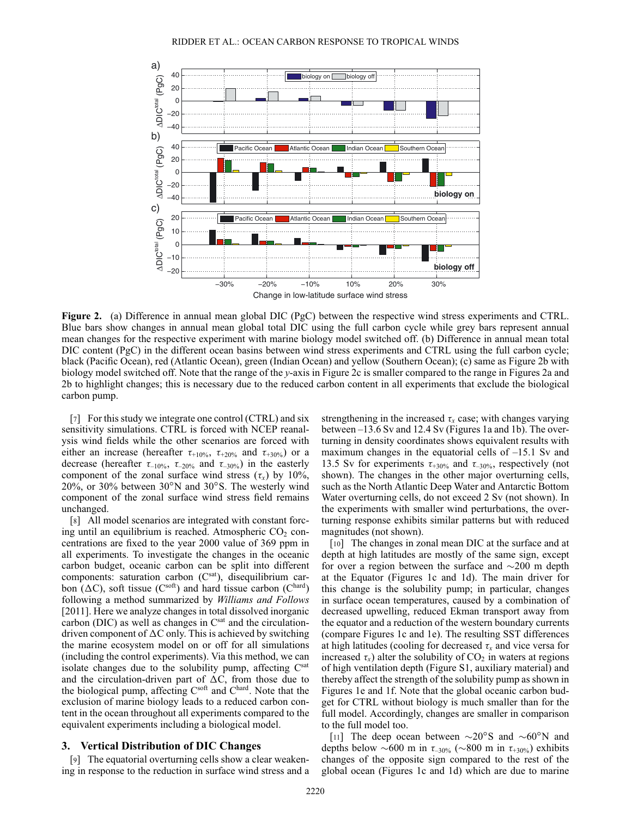

<span id="page-3-0"></span>**Figure 2.** (a) Difference in annual mean global DIC (PgC) between the respective wind stress experiments and CTRL. Blue bars show changes in annual mean global total DIC using the full carbon cycle while grey bars represent annual mean changes for the respective experiment with marine biology model switched off. (b) Difference in annual mean total DIC content (PgC) in the different ocean basins between wind stress experiments and CTRL using the full carbon cycle; black (Pacific Ocean), red (Atlantic Ocean), green (Indian Ocean) and yellow (Southern Ocean); (c) same as Figure [2b](#page-3-0) with biology model switched off. Note that the range of the *y*-axis in Figure [2c](#page-3-0) is smaller compared to the range in Figures [2a](#page-3-0) and [2b](#page-3-0) to highlight changes; this is necessary due to the reduced carbon content in all experiments that exclude the biological carbon pump.

[7] For this study we integrate one control (CTRL) and six sensitivity simulations. CTRL is forced with NCEP reanalysis wind fields while the other scenarios are forced with either an increase (hereafter  $\tau_{+10\%}, \tau_{+20\%}$  and  $\tau_{+30\%}$ ) or a decrease (hereafter  $\tau_{-10\%}, \tau_{-20\%}$  and  $\tau_{-30\%}$ ) in the easterly component of the zonal surface wind stress  $(\tau_x)$  by 10%,  $20\%$ , or 30% between  $30^{\circ}$ N and  $30^{\circ}$ S. The westerly wind component of the zonal surface wind stress field remains unchanged.

[8] All model scenarios are integrated with constant forcing until an equilibrium is reached. Atmospheric  $CO<sub>2</sub>$  concentrations are fixed to the year 2000 value of 369 ppm in all experiments. To investigate the changes in the oceanic carbon budget, oceanic carbon can be split into different components: saturation carbon (Csat), disequilibrium carbon ( $\Delta C$ ), soft tissue ( $C^{soft}$ ) and hard tissue carbon ( $C^{hard}$ ) following a method summarized by *Williams and Follows* [2011]. Here we analyze changes in total dissolved inorganic carbon (DIC) as well as changes in  $C<sup>sat</sup>$  and the circulationdriven component of  $\Delta C$  only. This is achieved by switching the marine ecosystem model on or off for all simulations (including the control experiments). Via this method, we can isolate changes due to the solubility pump, affecting Csat and the circulation-driven part of  $\Delta C$ , from those due to the biological pump, affecting Csoft and Chard. Note that the exclusion of marine biology leads to a reduced carbon content in the ocean throughout all experiments compared to the equivalent experiments including a biological model.

#### **3. Vertical Distribution of DIC Changes**

[9] The equatorial overturning cells show a clear weakening in response to the reduction in surface wind stress and a

strengthening in the increased  $\tau_x$  case; with changes varying between –13.6 Sv and 12.4 Sv (Figures [1a](#page-2-0) and [1b](#page-2-0)). The overturning in density coordinates shows equivalent results with maximum changes in the equatorial cells of –15.1 Sv and 13.5 Sv for experiments  $\tau_{+30\%}$  and  $\tau_{-30\%}$ , respectively (not shown). The changes in the other major overturning cells, such as the North Atlantic Deep Water and Antarctic Bottom Water overturning cells, do not exceed 2 Sv (not shown). In the experiments with smaller wind perturbations, the overturning response exhibits similar patterns but with reduced magnitudes (not shown).

[10] The changes in zonal mean DIC at the surface and at depth at high latitudes are mostly of the same sign, except for over a region between the surface and  $\sim$ 200 m depth at the Equator (Figures [1c](#page-2-0) and [1d](#page-2-0)). The main driver for this change is the solubility pump; in particular, changes in surface ocean temperatures, caused by a combination of decreased upwelling, reduced Ekman transport away from the equator and a reduction of the western boundary currents (compare Figures [1c](#page-2-0) and [1e](#page-2-0)). The resulting SST differences at high latitudes (cooling for decreased  $\tau_x$  and vice versa for increased  $\tau_x$ ) alter the solubility of  $CO_2$  in waters at regions of high ventilation depth (Figure S1, auxiliary material) and thereby affect the strength of the solubility pump as shown in Figures [1e](#page-2-0) and [1f](#page-2-0). Note that the global oceanic carbon budget for CTRL without biology is much smaller than for the full model. Accordingly, changes are smaller in comparison to the full model too.

[11] The deep ocean between  $\sim 20^{\circ}$ S and  $\sim 60^{\circ}$ N and depths below  $\sim 600$  m in  $\tau_{-30\%}$  ( $\sim 800$  m in  $\tau_{+30\%}$ ) exhibits changes of the opposite sign compared to the rest of the global ocean (Figures [1c](#page-2-0) and [1d](#page-2-0)) which are due to marine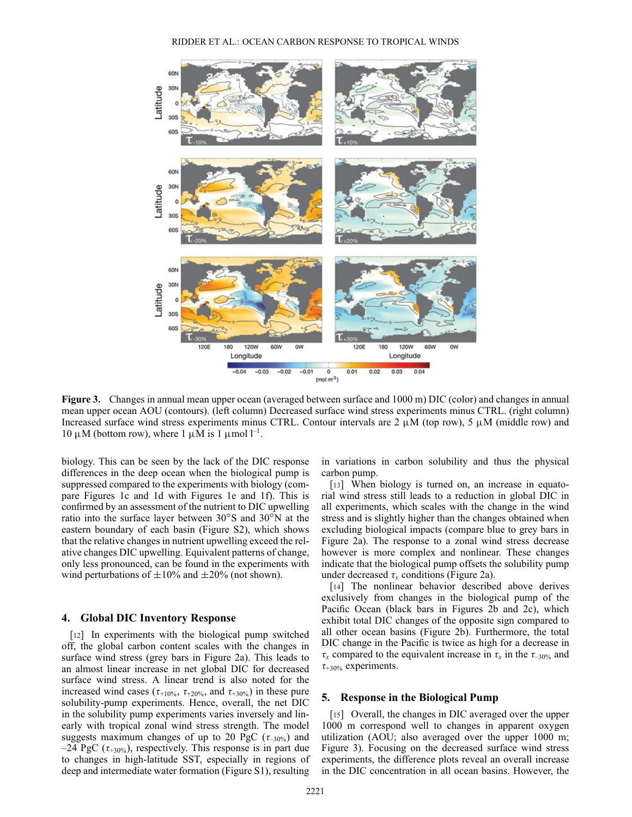

<span id="page-4-0"></span>**Figure 3.** Changes in annual mean upper ocean (averaged between surface and 1000 m) DIC (color) and changes in annual mean upper ocean AOU (contours). (left column) Decreased surface wind stress experiments minus CTRL. (right column) Increased surface wind stress experiments minus CTRL. Contour intervals are  $2 \mu M$  (top row), 5  $\mu$ M (middle row) and 10  $\mu$ M (bottom row), where 1  $\mu$ M is 1  $\mu$ mol l<sup>-1</sup>.

biology. This can be seen by the lack of the DIC response differences in the deep ocean when the biological pump is suppressed compared to the experiments with biology (compare Figures [1c](#page-2-0) and [1d](#page-2-0) with Figures [1e](#page-2-0) and [1f](#page-2-0)). This is confirmed by an assessment of the nutrient to DIC upwelling ratio into the surface layer between  $30^{\circ}$ S and  $30^{\circ}$ N at the eastern boundary of each basin (Figure S2), which shows that the relative changes in nutrient upwelling exceed the relative changes DIC upwelling. Equivalent patterns of change, only less pronounced, can be found in the experiments with wind perturbations of  $\pm 10\%$  and  $\pm 20\%$  (not shown).

#### **4. Global DIC Inventory Response**

[12] In experiments with the biological pump switched off, the global carbon content scales with the changes in surface wind stress (grey bars in Figure [2a](#page-3-0)). This leads to an almost linear increase in net global DIC for decreased surface wind stress. A linear trend is also noted for the increased wind cases ( $\tau_{+10\%}, \tau_{+20\%},$  and  $\tau_{+30\%}$ ) in these pure solubility-pump experiments. Hence, overall, the net DIC in the solubility pump experiments varies inversely and linearly with tropical zonal wind stress strength. The model suggests maximum changes of up to 20 PgC ( $\tau_{-30\%}$ ) and  $-24$  PgC ( $\tau_{+30\%}$ ), respectively. This response is in part due to changes in high-latitude SST, especially in regions of deep and intermediate water formation (Figure S1), resulting

in variations in carbon solubility and thus the physical carbon pump.

[13] When biology is turned on, an increase in equatorial wind stress still leads to a reduction in global DIC in all experiments, which scales with the change in the wind stress and is slightly higher than the changes obtained when excluding biological impacts (compare blue to grey bars in Figure [2a](#page-3-0)). The response to a zonal wind stress decrease however is more complex and nonlinear. These changes indicate that the biological pump offsets the solubility pump under decreased  $\tau_x$  conditions (Figure [2a](#page-3-0)).

[14] The nonlinear behavior described above derives exclusively from changes in the biological pump of the Pacific Ocean (black bars in Figures [2b](#page-3-0) and [2c](#page-3-0)), which exhibit total DIC changes of the opposite sign compared to all other ocean basins (Figure [2b](#page-3-0)). Furthermore, the total DIC change in the Pacific is twice as high for a decrease in  $\tau_x$  compared to the equivalent increase in  $\tau_x$  in the  $\tau_{-30\%}$  and  $\tau_{+30\%}$  experiments.

## **5. Response in the Biological Pump**

[15] Overall, the changes in DIC averaged over the upper 1000 m correspond well to changes in apparent oxygen utilization (AOU; also averaged over the upper 1000 m; Figure [3\)](#page-4-0). Focusing on the decreased surface wind stress experiments, the difference plots reveal an overall increase in the DIC concentration in all ocean basins. However, the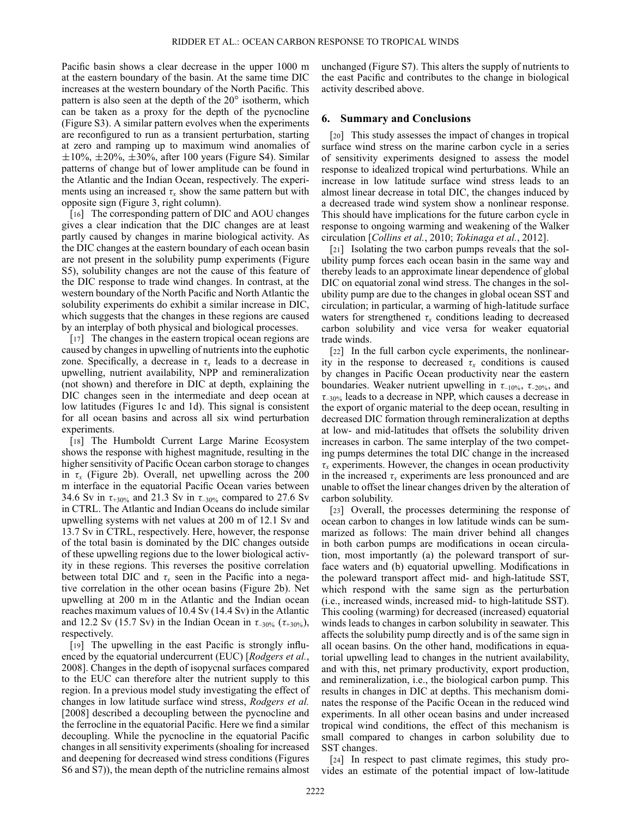Pacific basin shows a clear decrease in the upper 1000 m at the eastern boundary of the basin. At the same time DIC increases at the western boundary of the North Pacific. This pattern is also seen at the depth of the  $20^{\circ}$  isotherm, which can be taken as a proxy for the depth of the pycnocline (Figure S3). A similar pattern evolves when the experiments are reconfigured to run as a transient perturbation, starting at zero and ramping up to maximum wind anomalies of  $\pm 10\%$ ,  $\pm 20\%$ ,  $\pm 30\%$ , after 100 years (Figure S4). Similar patterns of change but of lower amplitude can be found in the Atlantic and the Indian Ocean, respectively. The experiments using an increased  $\tau_x$  show the same pattern but with opposite sign (Figure [3,](#page-4-0) right column).

[16] The corresponding pattern of DIC and AOU changes gives a clear indication that the DIC changes are at least partly caused by changes in marine biological activity. As the DIC changes at the eastern boundary of each ocean basin are not present in the solubility pump experiments (Figure S5), solubility changes are not the cause of this feature of the DIC response to trade wind changes. In contrast, at the western boundary of the North Pacific and North Atlantic the solubility experiments do exhibit a similar increase in DIC, which suggests that the changes in these regions are caused by an interplay of both physical and biological processes.

[17] The changes in the eastern tropical ocean regions are caused by changes in upwelling of nutrients into the euphotic zone. Specifically, a decrease in  $\tau<sub>x</sub>$  leads to a decrease in upwelling, nutrient availability, NPP and remineralization (not shown) and therefore in DIC at depth, explaining the DIC changes seen in the intermediate and deep ocean at low latitudes (Figures [1c](#page-2-0) and [1d](#page-2-0)). This signal is consistent for all ocean basins and across all six wind perturbation experiments.

[18] The Humboldt Current Large Marine Ecosystem shows the response with highest magnitude, resulting in the higher sensitivity of Pacific Ocean carbon storage to changes in  $\tau$ <sub>x</sub> (Figure [2b](#page-3-0)). Overall, net upwelling across the 200 m interface in the equatorial Pacific Ocean varies between 34.6 Sv in  $\tau_{+30\%}$  and 21.3 Sv in  $\tau_{-30\%}$  compared to 27.6 Sv in CTRL. The Atlantic and Indian Oceans do include similar upwelling systems with net values at 200 m of 12.1 Sv and 13.7 Sv in CTRL, respectively. Here, however, the response of the total basin is dominated by the DIC changes outside of these upwelling regions due to the lower biological activity in these regions. This reverses the positive correlation between total DIC and  $\tau_r$  seen in the Pacific into a negative correlation in the other ocean basins (Figure [2b](#page-3-0)). Net upwelling at 200 m in the Atlantic and the Indian ocean reaches maximum values of 10.4 Sv (14.4 Sv) in the Atlantic and 12.2 Sv (15.7 Sv) in the Indian Ocean in  $\tau_{-30\%}$  ( $\tau_{+30\%}$ ), respectively.

[19] The upwelling in the east Pacific is strongly influenced by the equatorial undercurrent (EUC) [*Rodgers et al.*, 2008]. Changes in the depth of isopycnal surfaces compared to the EUC can therefore alter the nutrient supply to this region. In a previous model study investigating the effect of changes in low latitude surface wind stress, *Rodgers et al.* [2008] described a decoupling between the pycnocline and the ferrocline in the equatorial Pacific. Here we find a similar decoupling. While the pycnocline in the equatorial Pacific changes in all sensitivity experiments (shoaling for increased and deepening for decreased wind stress conditions (Figures S6 and S7)), the mean depth of the nutricline remains almost

unchanged (Figure S7). This alters the supply of nutrients to the east Pacific and contributes to the change in biological activity described above.

#### **6. Summary and Conclusions**

[20] This study assesses the impact of changes in tropical surface wind stress on the marine carbon cycle in a series of sensitivity experiments designed to assess the model response to idealized tropical wind perturbations. While an increase in low latitude surface wind stress leads to an almost linear decrease in total DIC, the changes induced by a decreased trade wind system show a nonlinear response. This should have implications for the future carbon cycle in response to ongoing warming and weakening of the Walker circulation [*[Collins et al.](#page-6-6)*, 2010; *[Tokinaga et al.](#page-6-8)*, 2012].

[21] Isolating the two carbon pumps reveals that the solubility pump forces each ocean basin in the same way and thereby leads to an approximate linear dependence of global DIC on equatorial zonal wind stress. The changes in the solubility pump are due to the changes in global ocean SST and circulation; in particular, a warming of high-latitude surface waters for strengthened  $\tau_{\rm r}$  conditions leading to decreased carbon solubility and vice versa for weaker equatorial trade winds.

[22] In the full carbon cycle experiments, the nonlinearity in the response to decreased  $\tau_x$  conditions is caused by changes in Pacific Ocean productivity near the eastern boundaries. Weaker nutrient upwelling in  $\tau_{-10\%}, \tau_{-20\%},$  and  $\tau_{-30\%}$  leads to a decrease in NPP, which causes a decrease in the export of organic material to the deep ocean, resulting in decreased DIC formation through remineralization at depths at low- and mid-latitudes that offsets the solubility driven increases in carbon. The same interplay of the two competing pumps determines the total DIC change in the increased  $\tau_x$  experiments. However, the changes in ocean productivity in the increased  $\tau<sub>x</sub>$  experiments are less pronounced and are unable to offset the linear changes driven by the alteration of carbon solubility.

[23] Overall, the processes determining the response of ocean carbon to changes in low latitude winds can be summarized as follows: The main driver behind all changes in both carbon pumps are modifications in ocean circulation, most importantly (a) the poleward transport of surface waters and (b) equatorial upwelling. Modifications in the poleward transport affect mid- and high-latitude SST, which respond with the same sign as the perturbation (i.e., increased winds, increased mid- to high-latitude SST). This cooling (warming) for decreased (increased) equatorial winds leads to changes in carbon solubility in seawater. This affects the solubility pump directly and is of the same sign in all ocean basins. On the other hand, modifications in equatorial upwelling lead to changes in the nutrient availability, and with this, net primary productivity, export production, and remineralization, i.e., the biological carbon pump. This results in changes in DIC at depths. This mechanism dominates the response of the Pacific Ocean in the reduced wind experiments. In all other ocean basins and under increased tropical wind conditions, the effect of this mechanism is small compared to changes in carbon solubility due to SST changes.

[24] In respect to past climate regimes, this study provides an estimate of the potential impact of low-latitude